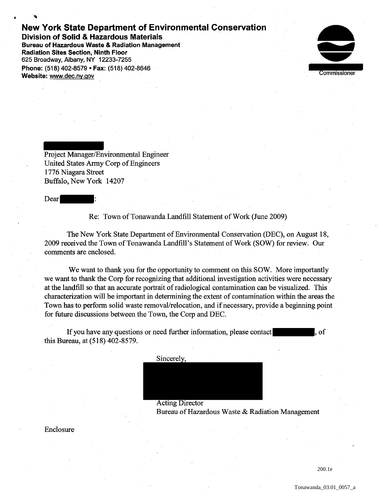## **New York State Department of Environmental Conservation**

**Division of Solid & Hazardous Materials Bureau of Hazardous Waste & Radiation Management Radiation Sites Section, Ninth Floor**  625 Broadway, Albany, NY 12233-7255 **Phone:** (518) 402-8579 • **Fax:** (518) 402-8646 **Website:** www.dec.ny.gov



Project Manager/Environmental Engineer United States Army Corp of Engineers 1776 Niagara Street Buffalo, New York 14207

Dear

•

Re: Town of Tonawanda Landfill Statement of Work (June 2009)

The New York State Department of Environmental Conservation (DEC), on August 18, 2009 received the Town of Tonawanda Landfill's Statement of Work (SOW) for review. Our comments are enclosed.

We want to thank you for the opportunity to comment on this SOW. More importantly we want to thank the Corp for recognizing that additional investigation activities were necessary at the landfill so that an accurate portrait of radiological contamination can be visualized. This characterization will be important in determining the extent of contamination within the areas the Town has to perform solid waste removal/relocation, and if necessary, provide a beginning point for future discussions between the Town, the Corp and DEC.

If you have any questions or need further information, please contact , of this Bureau, at (518) 402-8579.

Sincerely,

Acting Director Bureau of Hazardous Waste & Radiation Management

## Enclosure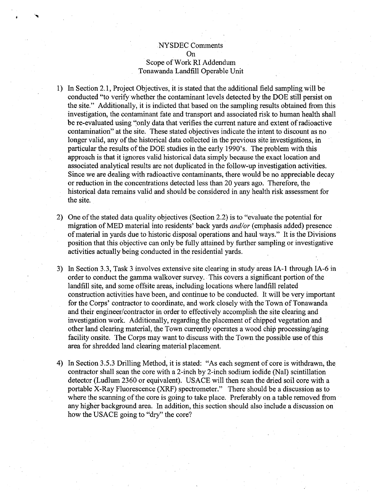## .NYSDEC Comments On Scope of Work RI Addendum Tonawanda Landfill Operable Unit

. ...,

- 1) In Section 2.1, Project Objectives, it is stated that the additional field sampling will be conducted "to verify whether the contaminant levels detected by the DOE still persist on the site." Additionally, it is indicted that based on the sampling results obtained from this investigation, the contaminant fate and transport and associated risk to human health shall be re-evaluated using "only data that verifies the current nature and extent of radioactive contamination" at the site. These stated objectives indicate the intent to discount as no longer valid, any of the historical data collected in the previous site investigations, in particular the results of the DOE studies in the early 1990's. The problem with this approach is that it ignores valid historical data simply because the exact location and associated analytical results are not duplicated in the follow-up investigation activities. Since we are dealing with radioactive contaminants, there would be no appreciable decay or reduction in the concentrations detected less than 20 years ago. Therefore, the historical data remains valid and should be considered in any health risk assessment for the site.
- 2) One of the stated data quality objectives (Section 2.2) is to "evaluate the potential for migration ofMED material into residents' back yards *and/or* (emphasis added) presence of material in yards due to historic disposal operations and haul ways." It is the Divisions position that this objective can only be fully attained by further sampling or investigative activities actually being conducted in the residential yards.
- 3) In Section 3.3, Task 3 involves extensive site clearing in study areas IA-1 through IA-6 in order to conduct the gamma walkover survey. This covers a significant portion of the landfill site, and some offsite areas, including locations where landfill related construction activities have been, and continue to be conducted. It will be very important for the Corps' contractor to coordinate, and work closely with the Town of Tonawanda and their engineer/contractor in order to effectively accomplish the site clearing and investigation work. Additionally, regarding the placement of chipped vegetation and other land clearing material, the Town currently operates a wood chip processing/aging facility onsite. The Corps may want to discuss with the Town the possible use of this area for shredded land clearing material placement.
- 4) In Section 3.5.3 Drilling Method, it is stated: "As each segment of core is withdrawn, the contractor shall scan the core with a 2-inch by 2-inch sodium iodide (NaI) scintillation detector (Ludlum 2360 or equivalent). USACE will then scan the dried soil core with a portable X-Ray Fluorescence (XRF) spectrometer." There should be a discussion as to where the scanning of the core is going to take place. Preferably on a table removed from any higher background area. In addition, this section should also include a discussion on how the USACE going to "dry" the core?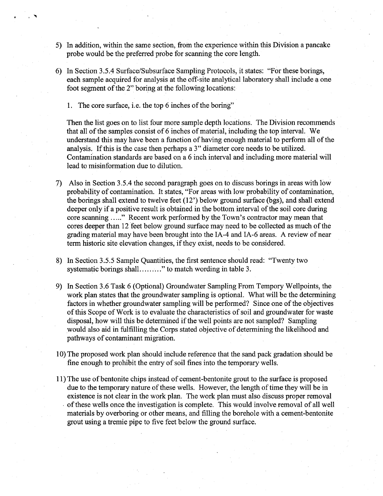- 5) In addition, within the same section, from the experience within this Division a pancake probe would be the preferred probe for scanning the core length.
- 6) In Section 3.5.4 Surface/Subsurface Sampling Protocols, it states: "For these borings, each sample acquired for analysis at the off-site analytical laboratory shall include a one foot segment of the 2" boring at the following locations:
	- 1. The core surface, i.e. the top 6 inches of the boring"

Then the list goes on to list four more sample depth locations. The Division recommends that all of the samples consist of 6 inches of material, including the top interval. We understand this may have been a function of having enough material to perform all of the analysis. If this is the case then perhaps a 3" diameter core needs to be utilized. Contamination standards are based on a 6 inch interval and including more material will lead to misinformation due to dilution.

Also in Section 3.5.4 the second paragraph goes on to discuss borings in areas with low probability of contamination. It states, "For areas with low probability of contamination, the borings shall extend to twelve feet (12') below ground surface (bgs), and shall extend deeper only if a positive result is obtained in the bottom interval of the soil core during core scanning ....." Recent work performed by the Town's contractor may mean that cores deeper than 12 feet below ground surface may need to be collected as much of the grading material may have been brought into the IA-4 and IA-6 areas. A review of near term historic site elevation changes, if they exist, needs to be considered.

I

- 8) In Section 3.5.5 Sample Quantities, the first sentence should read: "Twenty two systematic borings shall ........." to match wording in table 3.
- 9) In Section 3.6 Task 6 (Optional) Groundwater Sampling From Tempory Wellpoints, the work plan states that the groundwater sampling is optional. What will be the determining factors in whether groundwater sampling will be performed? Since one of the objectives of this Scope of Work is to evaluate the characteristics of soil and groundwater for waste disposal, how will this be determined if the well points are not sampled? Sampling would also aid in fulfilling the Corps stated objective of determining the likelihood and pathways of contaminant migration.
- 1 0) The proposed work plan should include reference that the sand pack gradation should be fine enough to prohibit the entry of soil fines into the temporary wells.
- 11) The use of bentonite chips instead of cement-bentonite grout to the surface is proposed due to the temporary nature of these wells. However, the length of time they will be in existence is not clear in the work plan. The work plan must also discuss proper removal . of these wells once the investigation is complete. This would involve removal of all well materials by overboring or other means, and filling the borehole with a cement-bentonite grout using a tremie pipe to five feet below the ground surface.